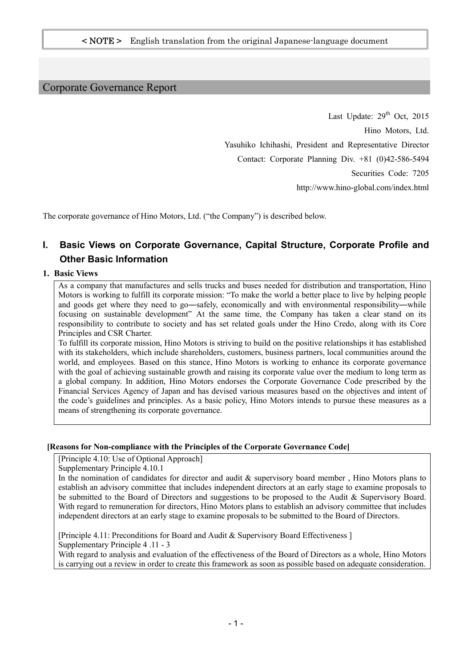# Corporate Governance Report

Last Update:  $29<sup>th</sup>$  Oct, 2015 Hino Motors, Ltd. Yasuhiko Ichihashi, President and Representative Director Contact: Corporate Planning Div. +81 (0)42-586-5494 Securities Code: 7205 http://www.hino-global.com/index.html

The corporate governance of Hino Motors, Ltd. ("the Company") is described below.

# **I. Basic Views on Corporate Governance, Capital Structure, Corporate Profile and Other Basic Information**

### **1. Basic Views**

As a company that manufactures and sells trucks and buses needed for distribution and transportation, Hino Motors is working to fulfill its corporate mission: "To make the world a better place to live by helping people and goods get where they need to go—safely, economically and with environmental responsibility—while focusing on sustainable development" At the same time, the Company has taken a clear stand on its responsibility to contribute to society and has set related goals under the Hino Credo, along with its Core Principles and CSR Charter.

To fulfill its corporate mission, Hino Motors is striving to build on the positive relationships it has established with its stakeholders, which include shareholders, customers, business partners, local communities around the world, and employees. Based on this stance, Hino Motors is working to enhance its corporate governance with the goal of achieving sustainable growth and raising its corporate value over the medium to long term as a global company. In addition, Hino Motors endorses the Corporate Governance Code prescribed by the Financial Services Agency of Japan and has devised various measures based on the objectives and intent of the code's guidelines and principles. As a basic policy, Hino Motors intends to pursue these measures as a means of strengthening its corporate governance.

#### **[Reasons for Non-compliance with the Principles of the Corporate Governance Code]**

[Principle 4.10: Use of Optional Approach]

Supplementary Principle 4.10.1

In the nomination of candidates for director and audit  $\&$  supervisory board member, Hino Motors plans to establish an advisory committee that includes independent directors at an early stage to examine proposals to be submitted to the Board of Directors and suggestions to be proposed to the Audit & Supervisory Board. With regard to remuneration for directors, Hino Motors plans to establish an advisory committee that includes independent directors at an early stage to examine proposals to be submitted to the Board of Directors.

[Principle 4.11: Preconditions for Board and Audit & Supervisory Board Effectiveness ] Supplementary Principle 4 .11 - 3

With regard to analysis and evaluation of the effectiveness of the Board of Directors as a whole, Hino Motors is carrying out a review in order to create this framework as soon as possible based on adequate consideration.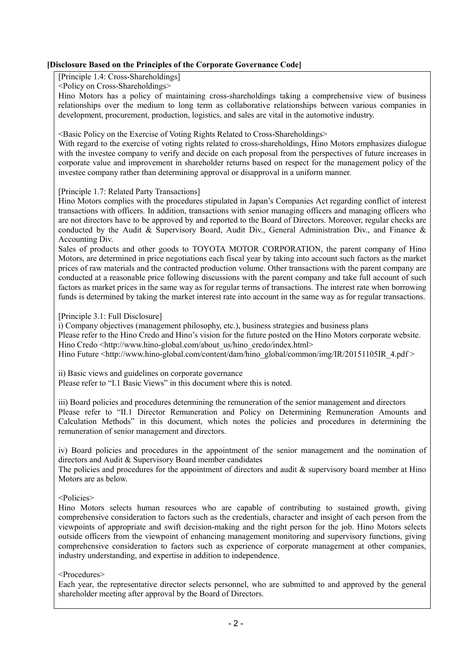# **[Disclosure Based on the Principles of the Corporate Governance Code]**

[Principle 1.4: Cross-Shareholdings]

<Policy on Cross-Shareholdings>

Hino Motors has a policy of maintaining cross-shareholdings taking a comprehensive view of business relationships over the medium to long term as collaborative relationships between various companies in development, procurement, production, logistics, and sales are vital in the automotive industry.

<Basic Policy on the Exercise of Voting Rights Related to Cross-Shareholdings>

With regard to the exercise of voting rights related to cross-shareholdings, Hino Motors emphasizes dialogue with the investee company to verify and decide on each proposal from the perspectives of future increases in corporate value and improvement in shareholder returns based on respect for the management policy of the investee company rather than determining approval or disapproval in a uniform manner.

#### [Principle 1.7: Related Party Transactions]

Hino Motors complies with the procedures stipulated in Japan's Companies Act regarding conflict of interest transactions with officers. In addition, transactions with senior managing officers and managing officers who are not directors have to be approved by and reported to the Board of Directors. Moreover, regular checks are conducted by the Audit & Supervisory Board, Audit Div., General Administration Div., and Finance & Accounting Div.

Sales of products and other goods to TOYOTA MOTOR CORPORATION, the parent company of Hino Motors, are determined in price negotiations each fiscal year by taking into account such factors as the market prices of raw materials and the contracted production volume. Other transactions with the parent company are conducted at a reasonable price following discussions with the parent company and take full account of such factors as market prices in the same way as for regular terms of transactions. The interest rate when borrowing funds is determined by taking the market interest rate into account in the same way as for regular transactions.

#### [Principle 3.1: Full Disclosure]

i) Company objectives (management philosophy, etc.), business strategies and business plans

Please refer to the Hino Credo and Hino's vision for the future posted on the Hino Motors corporate website. Hino Credo <http://www.hino-global.com/about\_us/hino\_credo/index.html>

Hino Future <http://www.hino-global.com/content/dam/hino\_global/common/img/IR/20151105IR\_4.pdf >

ii) Basic views and guidelines on corporate governance Please refer to "I.1 Basic Views" in this document where this is noted.

iii) Board policies and procedures determining the remuneration of the senior management and directors Please refer to "II.1 Director Remuneration and Policy on Determining Remuneration Amounts and Calculation Methods" in this document, which notes the policies and procedures in determining the remuneration of senior management and directors.

iv) Board policies and procedures in the appointment of the senior management and the nomination of directors and Audit & Supervisory Board member candidates

The policies and procedures for the appointment of directors and audit  $\&$  supervisory board member at Hino Motors are as below.

<Policies>

Hino Motors selects human resources who are capable of contributing to sustained growth, giving comprehensive consideration to factors such as the credentials, character and insight of each person from the viewpoints of appropriate and swift decision-making and the right person for the job. Hino Motors selects outside officers from the viewpoint of enhancing management monitoring and supervisory functions, giving comprehensive consideration to factors such as experience of corporate management at other companies, industry understanding, and expertise in addition to independence.

#### <Procedures>

Each year, the representative director selects personnel, who are submitted to and approved by the general shareholder meeting after approval by the Board of Directors.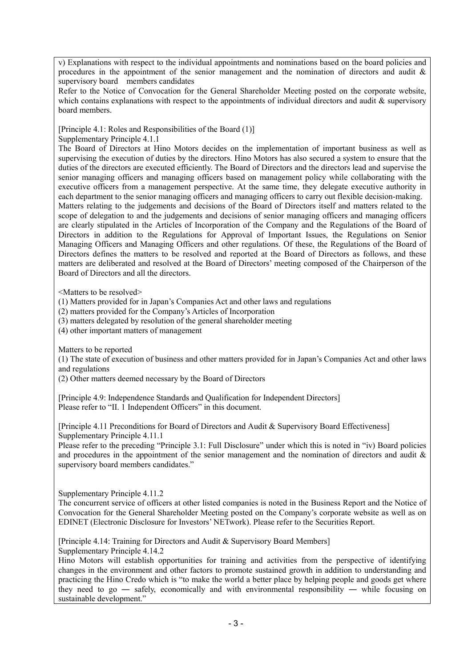v) Explanations with respect to the individual appointments and nominations based on the board policies and procedures in the appointment of the senior management and the nomination of directors and audit  $\&$ supervisory board members candidates

Refer to the Notice of Convocation for the General Shareholder Meeting posted on the corporate website, which contains explanations with respect to the appointments of individual directors and audit  $\&$  supervisory board members.

[Principle 4.1: Roles and Responsibilities of the Board (1)]

Supplementary Principle 4.1.1

The Board of Directors at Hino Motors decides on the implementation of important business as well as supervising the execution of duties by the directors. Hino Motors has also secured a system to ensure that the duties of the directors are executed efficiently. The Board of Directors and the directors lead and supervise the senior managing officers and managing officers based on management policy while collaborating with the executive officers from a management perspective. At the same time, they delegate executive authority in each department to the senior managing officers and managing officers to carry out flexible decision-making. Matters relating to the judgements and decisions of the Board of Directors itself and matters related to the scope of delegation to and the judgements and decisions of senior managing officers and managing officers are clearly stipulated in the Articles of Incorporation of the Company and the Regulations of the Board of Directors in addition to the Regulations for Approval of Important Issues, the Regulations on Senior Managing Officers and Managing Officers and other regulations. Of these, the Regulations of the Board of Directors defines the matters to be resolved and reported at the Board of Directors as follows, and these matters are deliberated and resolved at the Board of Directors' meeting composed of the Chairperson of the Board of Directors and all the directors.

<Matters to be resolved>

(1) Matters provided for in Japan's Companies Act and other laws and regulations

(2) matters provided for the Company's Articles of Incorporation

(3) matters delegated by resolution of the general shareholder meeting

(4) other important matters of management

Matters to be reported

(1) The state of execution of business and other matters provided for in Japan's Companies Act and other laws and regulations

(2) Other matters deemed necessary by the Board of Directors

[Principle 4.9: Independence Standards and Qualification for Independent Directors] Please refer to "II. 1 Independent Officers" in this document.

[Principle 4.11 Preconditions for Board of Directors and Audit & Supervisory Board Effectiveness] Supplementary Principle 4.11.1

Please refer to the preceding "Principle 3.1: Full Disclosure" under which this is noted in "iv) Board policies and procedures in the appointment of the senior management and the nomination of directors and audit & supervisory board members candidates."

Supplementary Principle 4.11.2

The concurrent service of officers at other listed companies is noted in the Business Report and the Notice of Convocation for the General Shareholder Meeting posted on the Company's corporate website as well as on EDINET (Electronic Disclosure for Investors' NETwork). Please refer to the Securities Report.

[Principle 4.14: Training for Directors and Audit & Supervisory Board Members] Supplementary Principle 4.14.2

Hino Motors will establish opportunities for training and activities from the perspective of identifying changes in the environment and other factors to promote sustained growth in addition to understanding and practicing the Hino Credo which is "to make the world a better place by helping people and goods get where they need to go — safely, economically and with environmental responsibility — while focusing on sustainable development."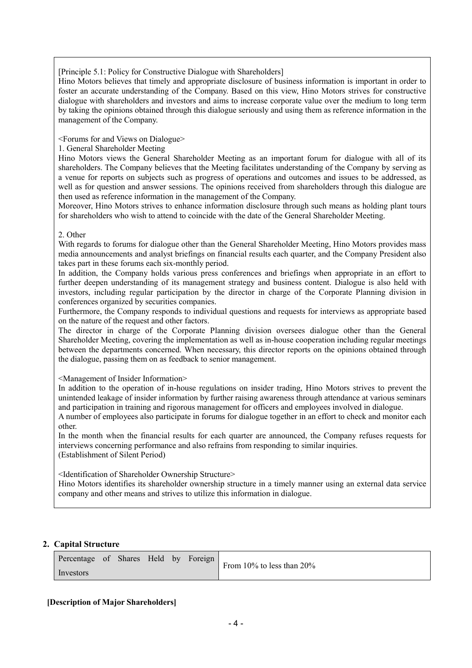[Principle 5.1: Policy for Constructive Dialogue with Shareholders]

Hino Motors believes that timely and appropriate disclosure of business information is important in order to foster an accurate understanding of the Company. Based on this view, Hino Motors strives for constructive dialogue with shareholders and investors and aims to increase corporate value over the medium to long term by taking the opinions obtained through this dialogue seriously and using them as reference information in the management of the Company.

<Forums for and Views on Dialogue>

#### 1. General Shareholder Meeting

Hino Motors views the General Shareholder Meeting as an important forum for dialogue with all of its shareholders. The Company believes that the Meeting facilitates understanding of the Company by serving as a venue for reports on subjects such as progress of operations and outcomes and issues to be addressed, as well as for question and answer sessions. The opinions received from shareholders through this dialogue are then used as reference information in the management of the Company.

Moreover, Hino Motors strives to enhance information disclosure through such means as holding plant tours for shareholders who wish to attend to coincide with the date of the General Shareholder Meeting.

#### 2. Other

With regards to forums for dialogue other than the General Shareholder Meeting, Hino Motors provides mass media announcements and analyst briefings on financial results each quarter, and the Company President also takes part in these forums each six-monthly period.

In addition, the Company holds various press conferences and briefings when appropriate in an effort to further deepen understanding of its management strategy and business content. Dialogue is also held with investors, including regular participation by the director in charge of the Corporate Planning division in conferences organized by securities companies.

Furthermore, the Company responds to individual questions and requests for interviews as appropriate based on the nature of the request and other factors.

The director in charge of the Corporate Planning division oversees dialogue other than the General Shareholder Meeting, covering the implementation as well as in-house cooperation including regular meetings between the departments concerned. When necessary, this director reports on the opinions obtained through the dialogue, passing them on as feedback to senior management.

#### <Management of Insider Information>

In addition to the operation of in-house regulations on insider trading, Hino Motors strives to prevent the unintended leakage of insider information by further raising awareness through attendance at various seminars and participation in training and rigorous management for officers and employees involved in dialogue.

A number of employees also participate in forums for dialogue together in an effort to check and monitor each other.

In the month when the financial results for each quarter are announced, the Company refuses requests for interviews concerning performance and also refrains from responding to similar inquiries. (Establishment of Silent Period)

<Identification of Shareholder Ownership Structure>

Hino Motors identifies its shareholder ownership structure in a timely manner using an external data service company and other means and strives to utilize this information in dialogue.

# **2. Capital Structure**

| Percentage of Shares Held by Foreign |  |  | From 10% to less than 20% |
|--------------------------------------|--|--|---------------------------|
| Investors                            |  |  |                           |

#### **[Description of Major Shareholders]**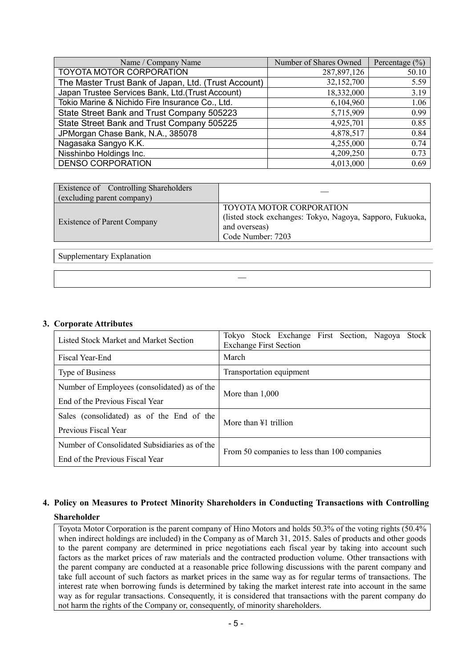| Name / Company Name                                  | Number of Shares Owned | Percentage $(\% )$ |
|------------------------------------------------------|------------------------|--------------------|
| TOYOTA MOTOR CORPORATION                             | 287,897,126            | 50.10              |
| The Master Trust Bank of Japan, Ltd. (Trust Account) | 32,152,700             | 5.59               |
| Japan Trustee Services Bank, Ltd.(Trust Account)     | 18,332,000             | 3.19               |
| Tokio Marine & Nichido Fire Insurance Co., Ltd.      | 6,104,960              | 1.06               |
| State Street Bank and Trust Company 505223           | 5,715,909              | 0.99               |
| State Street Bank and Trust Company 505225           | 4,925,701              | 0.85               |
| JPMorgan Chase Bank, N.A., 385078                    | 4,878,517              | 0.84               |
| Nagasaka Sangyo K.K.                                 | 4,255,000              | 0.74               |
| Nisshinbo Holdings Inc.                              | 4,209,250              | 0.73               |
| <b>DENSO CORPORATION</b>                             | 4,013,000              | 0.69               |

| Existence of Controlling Shareholders<br>(excluding parent company) |                                                                                                                             |
|---------------------------------------------------------------------|-----------------------------------------------------------------------------------------------------------------------------|
| <b>Existence of Parent Company</b>                                  | TOYOTA MOTOR CORPORATION<br>(listed stock exchanges: Tokyo, Nagoya, Sapporo, Fukuoka,<br>and overseas)<br>Code Number: 7203 |

―

Supplementary Explanation

#### **3. Corporate Attributes**

| Listed Stock Market and Market Section                                           | <b>Stock</b><br>Tokyo Stock Exchange First Section, Nagoya<br><b>Exchange First Section</b> |  |  |  |  |  |
|----------------------------------------------------------------------------------|---------------------------------------------------------------------------------------------|--|--|--|--|--|
| Fiscal Year-End                                                                  | March                                                                                       |  |  |  |  |  |
| Type of Business                                                                 | Transportation equipment                                                                    |  |  |  |  |  |
| Number of Employees (consolidated) as of the<br>End of the Previous Fiscal Year  | More than $1,000$                                                                           |  |  |  |  |  |
| Sales (consolidated) as of the End of the<br>Previous Fiscal Year                | More than $\angle 1$ trillion                                                               |  |  |  |  |  |
| Number of Consolidated Subsidiaries as of the<br>End of the Previous Fiscal Year | From 50 companies to less than 100 companies                                                |  |  |  |  |  |

# **4. Policy on Measures to Protect Minority Shareholders in Conducting Transactions with Controlling Shareholder**

Toyota Motor Corporation is the parent company of Hino Motors and holds 50.3% of the voting rights (50.4% when indirect holdings are included) in the Company as of March 31, 2015. Sales of products and other goods to the parent company are determined in price negotiations each fiscal year by taking into account such factors as the market prices of raw materials and the contracted production volume. Other transactions with the parent company are conducted at a reasonable price following discussions with the parent company and take full account of such factors as market prices in the same way as for regular terms of transactions. The interest rate when borrowing funds is determined by taking the market interest rate into account in the same way as for regular transactions. Consequently, it is considered that transactions with the parent company do not harm the rights of the Company or, consequently, of minority shareholders.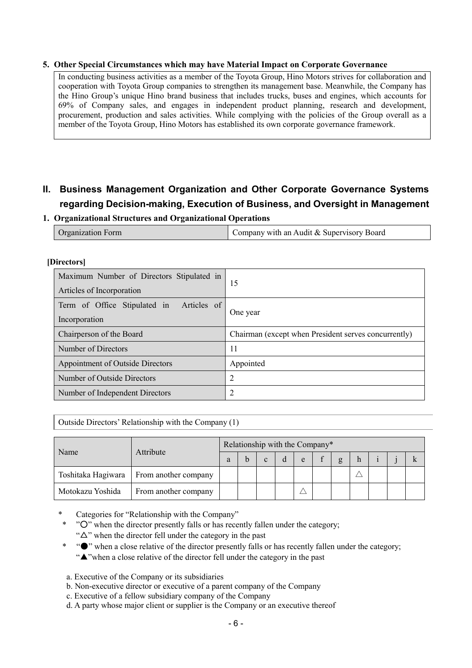#### **5. Other Special Circumstances which may have Material Impact on Corporate Governance**

In conducting business activities as a member of the Toyota Group, Hino Motors strives for collaboration and cooperation with Toyota Group companies to strengthen its management base. Meanwhile, the Company has the Hino Group's unique Hino brand business that includes trucks, buses and engines, which accounts for 69% of Company sales, and engages in independent product planning, research and development, procurement, production and sales activities. While complying with the policies of the Group overall as a member of the Toyota Group, Hino Motors has established its own corporate governance framework.

# **II. Business Management Organization and Other Corporate Governance Systems regarding Decision-making, Execution of Business, and Oversight in Management**

#### **1. Organizational Structures and Organizational Operations**

| <b>Organization Form</b> | Company with an Audit & Supervisory Board |
|--------------------------|-------------------------------------------|
|--------------------------|-------------------------------------------|

| <i></i>                                                                |                                                      |  |  |
|------------------------------------------------------------------------|------------------------------------------------------|--|--|
| Maximum Number of Directors Stipulated in<br>Articles of Incorporation | 15                                                   |  |  |
|                                                                        |                                                      |  |  |
| Term of Office Stipulated in Articles of                               | One year                                             |  |  |
| Incorporation                                                          |                                                      |  |  |
| Chairperson of the Board                                               | Chairman (except when President serves concurrently) |  |  |
| Number of Directors                                                    | 11                                                   |  |  |
| Appointment of Outside Directors                                       | Appointed                                            |  |  |
| Number of Outside Directors                                            | $\overline{2}$                                       |  |  |
| Number of Independent Directors                                        | 2                                                    |  |  |
|                                                                        |                                                      |  |  |

#### **[Directors]**

Outside Directors' Relationship with the Company (1)

|                    |                      | Relationship with the Company* |  |              |   |   |  |   |   |  |  |
|--------------------|----------------------|--------------------------------|--|--------------|---|---|--|---|---|--|--|
| Name               | Attribute            |                                |  | $\mathbf{c}$ | d | e |  | g | n |  |  |
| Toshitaka Hagiwara | From another company |                                |  |              |   |   |  |   |   |  |  |
| Motokazu Yoshida   | From another company |                                |  |              |   |   |  |   |   |  |  |

Categories for "Relationship with the Company"

- \* "○" when the director presently falls or has recently fallen under the category; " $\Delta$ " when the director fell under the category in the past
- \* "●" when a close relative of the director presently falls or has recently fallen under the category; "▲"when a close relative of the director fell under the category in the past
- a. Executive of the Company or its subsidiaries
- b. Non-executive director or executive of a parent company of the Company
- c. Executive of a fellow subsidiary company of the Company
- d. A party whose major client or supplier is the Company or an executive thereof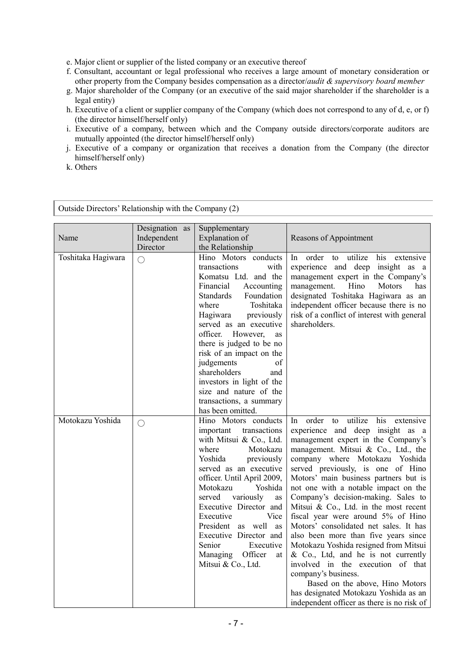e. Major client or supplier of the listed company or an executive thereof

- f. Consultant, accountant or legal professional who receives a large amount of monetary consideration or other property from the Company besides compensation as a director/*audit & supervisory board member*
- g. Major shareholder of the Company (or an executive of the said major shareholder if the shareholder is a legal entity)
- h. Executive of a client or supplier company of the Company (which does not correspond to any of d, e, or f) (the director himself/herself only)
- i. Executive of a company, between which and the Company outside directors/corporate auditors are mutually appointed (the director himself/herself only)
- j. Executive of a company or organization that receives a donation from the Company (the director himself/herself only)
- k. Others

| Outside Directors' Relationship with the Company (2) |                                           |                                                                                                                                                                                                                                                                                                                                                                                                                                                  |                                                                                                                                                                                                                                                                                                                                                                                                                                                                                                                                                                                                                                                                                                                                                                                                          |
|------------------------------------------------------|-------------------------------------------|--------------------------------------------------------------------------------------------------------------------------------------------------------------------------------------------------------------------------------------------------------------------------------------------------------------------------------------------------------------------------------------------------------------------------------------------------|----------------------------------------------------------------------------------------------------------------------------------------------------------------------------------------------------------------------------------------------------------------------------------------------------------------------------------------------------------------------------------------------------------------------------------------------------------------------------------------------------------------------------------------------------------------------------------------------------------------------------------------------------------------------------------------------------------------------------------------------------------------------------------------------------------|
| Name                                                 | Designation as<br>Independent<br>Director | Supplementary<br>Explanation of<br>the Relationship                                                                                                                                                                                                                                                                                                                                                                                              | Reasons of Appointment                                                                                                                                                                                                                                                                                                                                                                                                                                                                                                                                                                                                                                                                                                                                                                                   |
| Toshitaka Hagiwara                                   | $\bigcirc$                                | Hino Motors conducts<br>transactions<br>with<br>Komatsu Ltd. and the<br>Financial<br>Accounting<br>Foundation<br><b>Standards</b><br>where<br>Toshitaka<br>Hagiwara<br>previously<br>served as an executive<br>officer. However,<br>as<br>there is judged to be no<br>risk of an impact on the<br>judgements<br>of<br>shareholders<br>and<br>investors in light of the<br>size and nature of the<br>transactions, a summary<br>has been omitted. | order to<br>utilize<br>his extensive<br>In.<br>experience and deep<br>insight as a<br>management expert in the Company's<br>Hino<br>management.<br>Motors<br>has<br>designated Toshitaka Hagiwara as an<br>independent officer because there is no<br>risk of a conflict of interest with general<br>shareholders.                                                                                                                                                                                                                                                                                                                                                                                                                                                                                       |
| Motokazu Yoshida                                     | $\bigcirc$                                | Hino Motors conducts<br>important<br>transactions<br>with Mitsui & Co., Ltd.<br>where<br>Motokazu<br>Yoshida<br>previously<br>served as an executive<br>officer. Until April 2009,<br>Motokazu<br>Yoshida<br>served<br>variously<br>as<br>Executive Director and<br>Executive<br>Vice<br>President as well as<br>Executive Director and<br>Senior<br>Executive<br>Managing Officer<br>at<br>Mitsui & Co., Ltd.                                   | utilize<br>order to<br>his<br>extensive<br>In.<br>experience and deep insight as a<br>management expert in the Company's<br>management. Mitsui & Co., Ltd., the<br>company where Motokazu Yoshida<br>served previously, is one of Hino<br>Motors' main business partners but is<br>not one with a notable impact on the<br>Company's decision-making. Sales to<br>Mitsui & Co., Ltd. in the most recent<br>fiscal year were around 5% of Hino<br>Motors' consolidated net sales. It has<br>also been more than five years since<br>Motokazu Yoshida resigned from Mitsui<br>$\&$ Co., Ltd, and he is not currently<br>involved in the execution of that<br>company's business.<br>Based on the above, Hino Motors<br>has designated Motokazu Yoshida as an<br>independent officer as there is no risk of |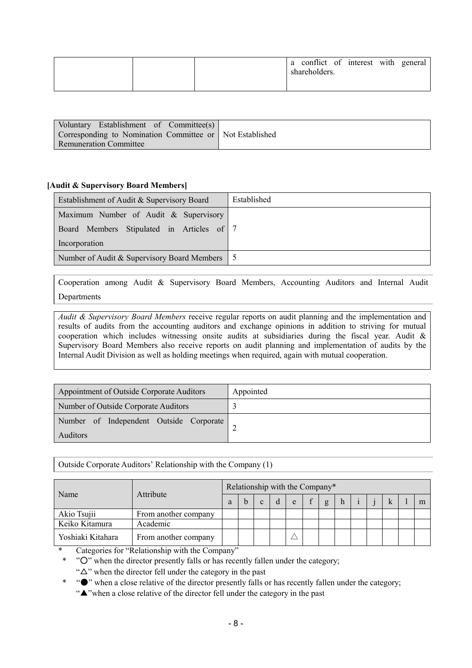|  | a conflict of interest with general<br>shareholders. |
|--|------------------------------------------------------|
|--|------------------------------------------------------|

| Voluntary Establishment of Committee(s)                  |  |
|----------------------------------------------------------|--|
| Corresponding to Nomination Committee or Not Established |  |
| <b>Remuneration Committee</b>                            |  |

#### **[Audit & Supervisory Board Members]**

| Establishment of Audit & Supervisory Board    | Established |
|-----------------------------------------------|-------------|
| Maximum Number of Audit & Supervisory         |             |
| Board Members Stipulated in Articles of 7     |             |
| Incorporation                                 |             |
| Number of Audit & Supervisory Board Members 5 |             |

Cooperation among Audit & Supervisory Board Members, Accounting Auditors and Internal Audit Departments

*Audit & Supervisory Board Members* receive regular reports on audit planning and the implementation and results of audits from the accounting auditors and exchange opinions in addition to striving for mutual cooperation which includes witnessing onsite audits at subsidiaries during the fiscal year. Audit & Supervisory Board Members also receive reports on audit planning and implementation of audits by the Internal Audit Division as well as holding meetings when required, again with mutual cooperation.

| Appointment of Outside Corporate Auditors                  | Appointed |
|------------------------------------------------------------|-----------|
| Number of Outside Corporate Auditors                       |           |
| Number of Independent Outside Corporate<br><b>Auditors</b> |           |

Outside Corporate Auditors' Relationship with the Company (1)

|                   |                      | Relationship with the Company* |  |  |   |   |  |   |   |  |  |  |   |
|-------------------|----------------------|--------------------------------|--|--|---|---|--|---|---|--|--|--|---|
| Name              | Attribute            |                                |  |  | d | e |  | g | h |  |  |  | m |
| Akio Tsujii       | From another company |                                |  |  |   |   |  |   |   |  |  |  |   |
| Keiko Kitamura    | Academic             |                                |  |  |   |   |  |   |   |  |  |  |   |
| Yoshiaki Kitahara | From another company |                                |  |  |   |   |  |   |   |  |  |  |   |

\* Categories for "Relationship with the Company"

\* "○" when the director presently falls or has recently fallen under the category;

" $\Delta$ " when the director fell under the category in the past

\* "●" when a close relative of the director presently falls or has recently fallen under the category;

"▲"when a close relative of the director fell under the category in the past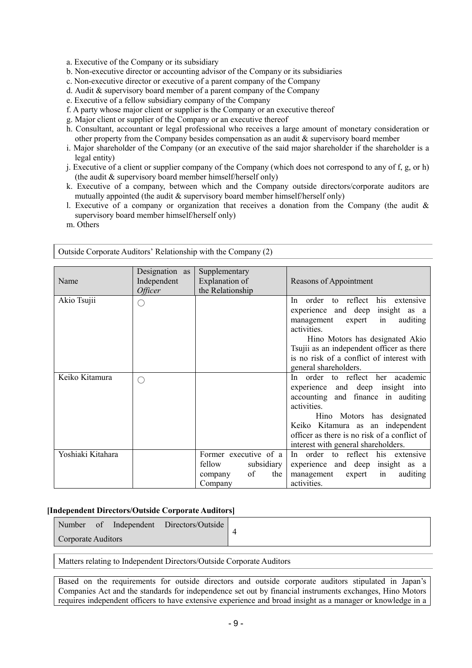- a. Executive of the Company or its subsidiary
- b. Non-executive director or accounting advisor of the Company or its subsidiaries
- c. Non-executive director or executive of a parent company of the Company
- d. Audit & supervisory board member of a parent company of the Company
- e. Executive of a fellow subsidiary company of the Company
- f. A party whose major client or supplier is the Company or an executive thereof
- g. Major client or supplier of the Company or an executive thereof
- h. Consultant, accountant or legal professional who receives a large amount of monetary consideration or other property from the Company besides compensation as an audit  $\&$  supervisory board member
- i. Major shareholder of the Company (or an executive of the said major shareholder if the shareholder is a legal entity)
- j. Executive of a client or supplier company of the Company (which does not correspond to any of f, g, or h) (the audit & supervisory board member himself/herself only)
- k. Executive of a company, between which and the Company outside directors/corporate auditors are mutually appointed (the audit & supervisory board member himself/herself only)
- l. Executive of a company or organization that receives a donation from the Company (the audit & supervisory board member himself/herself only)
- m. Others

| Name              | Designation as<br>Independent<br><i><b>Officer</b></i> | Supplementary<br>Explanation of<br>the Relationship                              | Reasons of Appointment                                                                                                                                                                                                                                                                               |
|-------------------|--------------------------------------------------------|----------------------------------------------------------------------------------|------------------------------------------------------------------------------------------------------------------------------------------------------------------------------------------------------------------------------------------------------------------------------------------------------|
| Akio Tsujii       | $(\ )$                                                 |                                                                                  | order<br>to reflect<br>his<br>In.<br>extensive<br>experience and deep<br>insight as a<br>in<br>auditing<br>management<br>expert<br>activities.<br>Hino Motors has designated Akio<br>Tsujii as an independent officer as there<br>is no risk of a conflict of interest with<br>general shareholders. |
| Keiko Kitamura    | $(\cdot)$                                              |                                                                                  | In order to reflect her academic<br>experience and deep insight into<br>and finance in auditing<br>accounting<br>activities.<br>Hino Motors has designated<br>Keiko Kitamura as an independent<br>officer as there is no risk of a conflict of<br>interest with general shareholders.                |
| Yoshiaki Kitahara |                                                        | Former executive of a<br>fellow<br>subsidiary<br>of<br>the<br>company<br>Company | In order to reflect his extensive<br>experience and deep<br>insight as a<br>management<br>auditing<br>expert<br>in<br>activities.                                                                                                                                                                    |

Outside Corporate Auditors' Relationship with the Company (2)

#### **[Independent Directors/Outside Corporate Auditors]**

|                    |  | Number of Independent Directors/Outside |  |
|--------------------|--|-----------------------------------------|--|
| Corporate Auditors |  |                                         |  |

Matters relating to Independent Directors/Outside Corporate Auditors

Based on the requirements for outside directors and outside corporate auditors stipulated in Japan's Companies Act and the standards for independence set out by financial instruments exchanges, Hino Motors requires independent officers to have extensive experience and broad insight as a manager or knowledge in a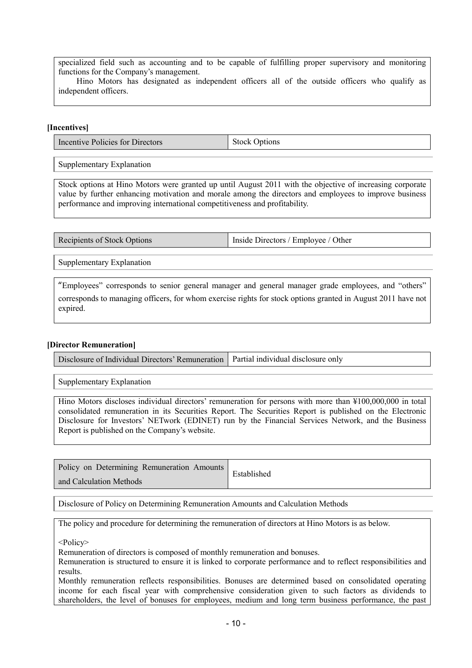specialized field such as accounting and to be capable of fulfilling proper supervisory and monitoring functions for the Company's management.

 Hino Motors has designated as independent officers all of the outside officers who qualify as independent officers.

### **[Incentives]**

Incentive Policies for Directors Stock Options

Supplementary Explanation

Stock options at Hino Motors were granted up until August 2011 with the objective of increasing corporate value by further enhancing motivation and morale among the directors and employees to improve business performance and improving international competitiveness and profitability.

Recipients of Stock Options Inside Directors / Employee / Other

Supplementary Explanation

"Employees" corresponds to senior general manager and general manager grade employees, and "others" corresponds to managing officers, for whom exercise rights for stock options granted in August 2011 have not expired.

#### **[Director Remuneration]**

Disclosure of Individual Directors' Remuneration | Partial individual disclosure only

Supplementary Explanation

Hino Motors discloses individual directors' remuneration for persons with more than ¥100,000,000 in total consolidated remuneration in its Securities Report. The Securities Report is published on the Electronic Disclosure for Investors' NETwork (EDINET) run by the Financial Services Network, and the Business Report is published on the Company's website.

| Policy on Determining Remuneration Amounts | Established |
|--------------------------------------------|-------------|
| and Calculation Methods                    |             |

Disclosure of Policy on Determining Remuneration Amounts and Calculation Methods

The policy and procedure for determining the remuneration of directors at Hino Motors is as below.

<Policy>

Remuneration of directors is composed of monthly remuneration and bonuses.

Remuneration is structured to ensure it is linked to corporate performance and to reflect responsibilities and results.

Monthly remuneration reflects responsibilities. Bonuses are determined based on consolidated operating income for each fiscal year with comprehensive consideration given to such factors as dividends to shareholders, the level of bonuses for employees, medium and long term business performance, the past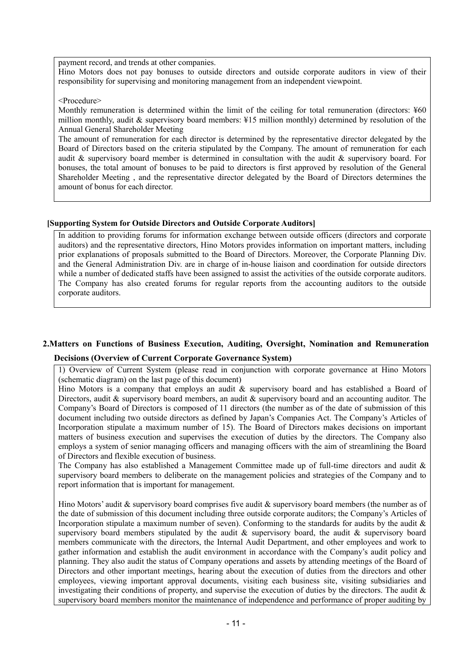payment record, and trends at other companies.

Hino Motors does not pay bonuses to outside directors and outside corporate auditors in view of their responsibility for supervising and monitoring management from an independent viewpoint.

<Procedure>

Monthly remuneration is determined within the limit of the ceiling for total remuneration (directors: ¥60 million monthly, audit & supervisory board members: ¥15 million monthly) determined by resolution of the Annual General Shareholder Meeting

The amount of remuneration for each director is determined by the representative director delegated by the Board of Directors based on the criteria stipulated by the Company. The amount of remuneration for each audit & supervisory board member is determined in consultation with the audit & supervisory board. For bonuses, the total amount of bonuses to be paid to directors is first approved by resolution of the General Shareholder Meeting , and the representative director delegated by the Board of Directors determines the amount of bonus for each director.

#### **[Supporting System for Outside Directors and Outside Corporate Auditors]**

In addition to providing forums for information exchange between outside officers (directors and corporate auditors) and the representative directors, Hino Motors provides information on important matters, including prior explanations of proposals submitted to the Board of Directors. Moreover, the Corporate Planning Div. and the General Administration Div. are in charge of in-house liaison and coordination for outside directors while a number of dedicated staffs have been assigned to assist the activities of the outside corporate auditors. The Company has also created forums for regular reports from the accounting auditors to the outside corporate auditors.

# **2.Matters on Functions of Business Execution, Auditing, Oversight, Nomination and Remuneration**

#### **Decisions (Overview of Current Corporate Governance System)**

1) Overview of Current System (please read in conjunction with corporate governance at Hino Motors (schematic diagram) on the last page of this document)

Hino Motors is a company that employs an audit & supervisory board and has established a Board of Directors, audit & supervisory board members, an audit & supervisory board and an accounting auditor. The Company's Board of Directors is composed of 11 directors (the number as of the date of submission of this document including two outside directors as defined by Japan's Companies Act. The Company's Articles of Incorporation stipulate a maximum number of 15). The Board of Directors makes decisions on important matters of business execution and supervises the execution of duties by the directors. The Company also employs a system of senior managing officers and managing officers with the aim of streamlining the Board of Directors and flexible execution of business.

The Company has also established a Management Committee made up of full-time directors and audit  $\&$ supervisory board members to deliberate on the management policies and strategies of the Company and to report information that is important for management.

Hino Motors' audit & supervisory board comprises five audit & supervisory board members (the number as of the date of submission of this document including three outside corporate auditors; the Company's Articles of Incorporation stipulate a maximum number of seven). Conforming to the standards for audits by the audit  $\&$ supervisory board members stipulated by the audit  $\&$  supervisory board, the audit  $\&$  supervisory board members communicate with the directors, the Internal Audit Department, and other employees and work to gather information and establish the audit environment in accordance with the Company's audit policy and planning. They also audit the status of Company operations and assets by attending meetings of the Board of Directors and other important meetings, hearing about the execution of duties from the directors and other employees, viewing important approval documents, visiting each business site, visiting subsidiaries and investigating their conditions of property, and supervise the execution of duties by the directors. The audit  $\&$ supervisory board members monitor the maintenance of independence and performance of proper auditing by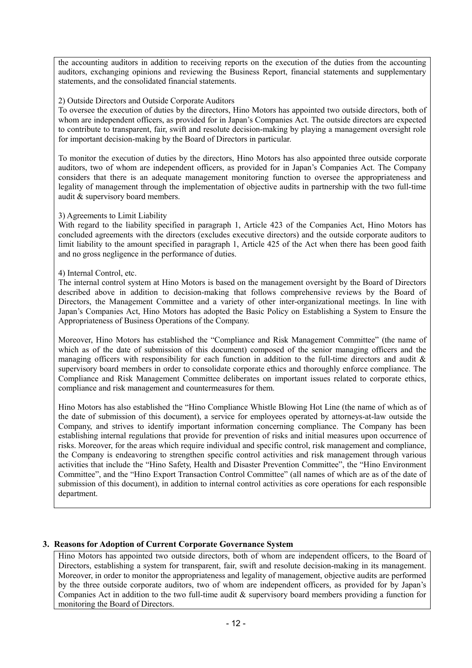the accounting auditors in addition to receiving reports on the execution of the duties from the accounting auditors, exchanging opinions and reviewing the Business Report, financial statements and supplementary statements, and the consolidated financial statements.

## 2) Outside Directors and Outside Corporate Auditors

To oversee the execution of duties by the directors, Hino Motors has appointed two outside directors, both of whom are independent officers, as provided for in Japan's Companies Act. The outside directors are expected to contribute to transparent, fair, swift and resolute decision-making by playing a management oversight role for important decision-making by the Board of Directors in particular.

To monitor the execution of duties by the directors, Hino Motors has also appointed three outside corporate auditors, two of whom are independent officers, as provided for in Japan's Companies Act. The Company considers that there is an adequate management monitoring function to oversee the appropriateness and legality of management through the implementation of objective audits in partnership with the two full-time audit & supervisory board members.

# 3) Agreements to Limit Liability

With regard to the liability specified in paragraph 1, Article 423 of the Companies Act, Hino Motors has concluded agreements with the directors (excludes executive directors) and the outside corporate auditors to limit liability to the amount specified in paragraph 1, Article 425 of the Act when there has been good faith and no gross negligence in the performance of duties.

### 4) Internal Control, etc.

The internal control system at Hino Motors is based on the management oversight by the Board of Directors described above in addition to decision-making that follows comprehensive reviews by the Board of Directors, the Management Committee and a variety of other inter-organizational meetings. In line with Japan's Companies Act, Hino Motors has adopted the Basic Policy on Establishing a System to Ensure the Appropriateness of Business Operations of the Company.

Moreover, Hino Motors has established the "Compliance and Risk Management Committee" (the name of which as of the date of submission of this document) composed of the senior managing officers and the managing officers with responsibility for each function in addition to the full-time directors and audit & supervisory board members in order to consolidate corporate ethics and thoroughly enforce compliance. The Compliance and Risk Management Committee deliberates on important issues related to corporate ethics, compliance and risk management and countermeasures for them.

Hino Motors has also established the "Hino Compliance Whistle Blowing Hot Line (the name of which as of the date of submission of this document), a service for employees operated by attorneys-at-law outside the Company, and strives to identify important information concerning compliance. The Company has been establishing internal regulations that provide for prevention of risks and initial measures upon occurrence of risks. Moreover, for the areas which require individual and specific control, risk management and compliance, the Company is endeavoring to strengthen specific control activities and risk management through various activities that include the "Hino Safety, Health and Disaster Prevention Committee", the "Hino Environment Committee", and the "Hino Export Transaction Control Committee" (all names of which are as of the date of submission of this document), in addition to internal control activities as core operations for each responsible department.

# **3. Reasons for Adoption of Current Corporate Governance System**

Hino Motors has appointed two outside directors, both of whom are independent officers, to the Board of Directors, establishing a system for transparent, fair, swift and resolute decision-making in its management. Moreover, in order to monitor the appropriateness and legality of management, objective audits are performed by the three outside corporate auditors, two of whom are independent officers, as provided for by Japan's Companies Act in addition to the two full-time audit & supervisory board members providing a function for monitoring the Board of Directors.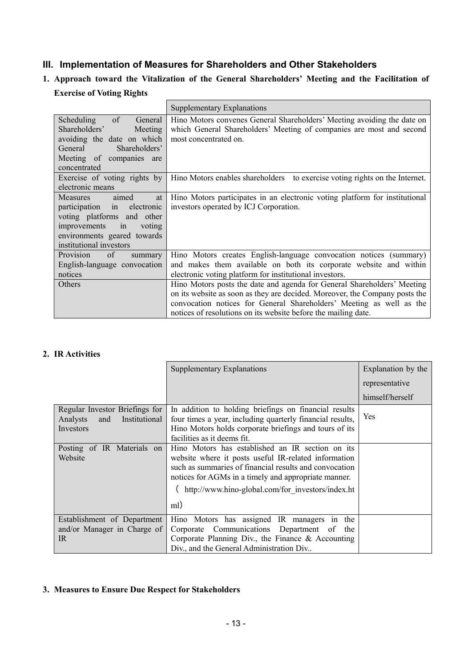# **III. Implementation of Measures for Shareholders and Other Stakeholders**

# **1. Approach toward the Vitalization of the General Shareholders' Meeting and the Facilitation of**

## **Exercise of Voting Rights**

|                                                                                                                                                                                          | Supplementary Explanations                                                                                                                                                                                                                                                                       |
|------------------------------------------------------------------------------------------------------------------------------------------------------------------------------------------|--------------------------------------------------------------------------------------------------------------------------------------------------------------------------------------------------------------------------------------------------------------------------------------------------|
| of<br>Scheduling<br>General<br>Shareholders'<br>Meeting<br>avoiding the date on which<br>General<br>Shareholders'<br>Meeting of companies are<br>concentrated                            | Hino Motors convenes General Shareholders' Meeting avoiding the date on<br>which General Shareholders' Meeting of companies are most and second<br>most concentrated on.                                                                                                                         |
| Exercise of voting rights by<br>electronic means                                                                                                                                         | Hino Motors enables shareholders to exercise voting rights on the Internet.                                                                                                                                                                                                                      |
| <b>Measures</b><br>aimed<br>at<br>participation in<br>electronic<br>voting platforms and other<br>improvements<br>in<br>voting<br>environments geared towards<br>institutional investors | Hino Motors participates in an electronic voting platform for institutional<br>investors operated by ICJ Corporation.                                                                                                                                                                            |
| Provision<br>of<br>summary<br>English-language convocation<br>notices                                                                                                                    | Hino Motors creates English-language convocation notices (summary)<br>and makes them available on both its corporate website and within<br>electronic voting platform for institutional investors.                                                                                               |
| Others                                                                                                                                                                                   | Hino Motors posts the date and agenda for General Shareholders' Meeting<br>on its website as soon as they are decided. Moreover, the Company posts the<br>convocation notices for General Shareholders' Meeting as well as the<br>notices of resolutions on its website before the mailing date. |

# **2. IR Activities**

|                                                                                 | <b>Supplementary Explanations</b>                                                                                                                                                                                                                                                | Explanation by the |
|---------------------------------------------------------------------------------|----------------------------------------------------------------------------------------------------------------------------------------------------------------------------------------------------------------------------------------------------------------------------------|--------------------|
|                                                                                 |                                                                                                                                                                                                                                                                                  | representative     |
|                                                                                 |                                                                                                                                                                                                                                                                                  | himself/herself    |
| Regular Investor Briefings for<br>Analysts<br>Institutional<br>and<br>Investors | In addition to holding briefings on financial results<br>four times a year, including quarterly financial results,<br>Hino Motors holds corporate briefings and tours of its<br>facilities as it deems fit.                                                                      | Yes                |
| Posting of IR Materials on<br>Website                                           | Hino Motors has established an IR section on its<br>website where it posts useful IR-related information<br>such as summaries of financial results and convocation<br>notices for AGMs in a timely and appropriate manner.<br>(http://www.hino-global.com/for investors/index.ht |                    |
|                                                                                 | ml)                                                                                                                                                                                                                                                                              |                    |
| Establishment of Department<br>and/or Manager in Charge of<br>IR.               | Hino Motors has assigned IR managers in<br>the<br>Corporate Communications Department of<br>the<br>Corporate Planning Div., the Finance $\&$ Accounting<br>Div., and the General Administration Div                                                                              |                    |

# **3. Measures to Ensure Due Respect for Stakeholders**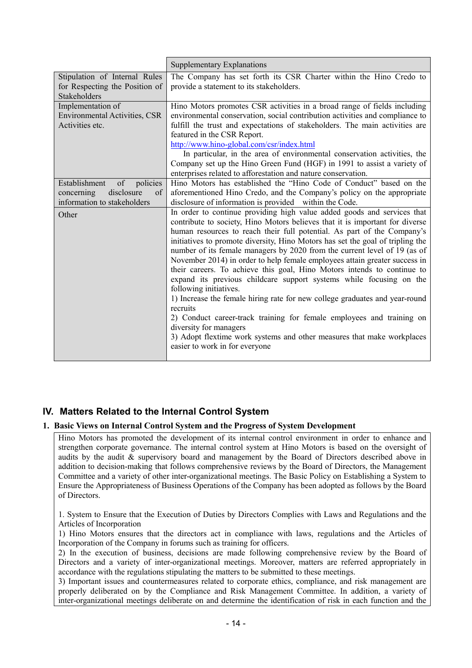|                                      | <b>Supplementary Explanations</b>                                                                                                                           |
|--------------------------------------|-------------------------------------------------------------------------------------------------------------------------------------------------------------|
| Stipulation of Internal Rules        | The Company has set forth its CSR Charter within the Hino Credo to                                                                                          |
| for Respecting the Position of       | provide a statement to its stakeholders.                                                                                                                    |
| Stakeholders                         |                                                                                                                                                             |
| Implementation of                    | Hino Motors promotes CSR activities in a broad range of fields including                                                                                    |
| <b>Environmental Activities, CSR</b> | environmental conservation, social contribution activities and compliance to                                                                                |
| Activities etc.                      | fulfill the trust and expectations of stakeholders. The main activities are                                                                                 |
|                                      | featured in the CSR Report.                                                                                                                                 |
|                                      | http://www.hino-global.com/csr/index.html                                                                                                                   |
|                                      | In particular, in the area of environmental conservation activities, the                                                                                    |
|                                      | Company set up the Hino Green Fund (HGF) in 1991 to assist a variety of                                                                                     |
|                                      | enterprises related to afforestation and nature conservation.                                                                                               |
| of policies<br>Establishment         | Hino Motors has established the "Hino Code of Conduct" based on the                                                                                         |
| disclosure<br>concerning<br>of       | aforementioned Hino Credo, and the Company's policy on the appropriate                                                                                      |
| information to stakeholders          | disclosure of information is provided within the Code.                                                                                                      |
| Other                                | In order to continue providing high value added goods and services that                                                                                     |
|                                      | contribute to society, Hino Motors believes that it is important for diverse                                                                                |
|                                      | human resources to reach their full potential. As part of the Company's                                                                                     |
|                                      | initiatives to promote diversity, Hino Motors has set the goal of tripling the<br>number of its female managers by 2020 from the current level of 19 (as of |
|                                      | November 2014) in order to help female employees attain greater success in                                                                                  |
|                                      | their careers. To achieve this goal, Hino Motors intends to continue to                                                                                     |
|                                      | expand its previous childcare support systems while focusing on the                                                                                         |
|                                      | following initiatives.                                                                                                                                      |
|                                      | 1) Increase the female hiring rate for new college graduates and year-round                                                                                 |
|                                      | recruits                                                                                                                                                    |
|                                      | 2) Conduct career-track training for female employees and training on                                                                                       |
|                                      | diversity for managers                                                                                                                                      |
|                                      | 3) Adopt flextime work systems and other measures that make workplaces                                                                                      |
|                                      | easier to work in for everyone                                                                                                                              |
|                                      |                                                                                                                                                             |

# **IV. Matters Related to the Internal Control System**

#### **1. Basic Views on Internal Control System and the Progress of System Development**

Hino Motors has promoted the development of its internal control environment in order to enhance and strengthen corporate governance. The internal control system at Hino Motors is based on the oversight of audits by the audit & supervisory board and management by the Board of Directors described above in addition to decision-making that follows comprehensive reviews by the Board of Directors, the Management Committee and a variety of other inter-organizational meetings. The Basic Policy on Establishing a System to Ensure the Appropriateness of Business Operations of the Company has been adopted as follows by the Board of Directors.

1. System to Ensure that the Execution of Duties by Directors Complies with Laws and Regulations and the Articles of Incorporation

1) Hino Motors ensures that the directors act in compliance with laws, regulations and the Articles of Incorporation of the Company in forums such as training for officers.

2) In the execution of business, decisions are made following comprehensive review by the Board of Directors and a variety of inter-organizational meetings. Moreover, matters are referred appropriately in accordance with the regulations stipulating the matters to be submitted to these meetings.

3) Important issues and countermeasures related to corporate ethics, compliance, and risk management are properly deliberated on by the Compliance and Risk Management Committee. In addition, a variety of inter-organizational meetings deliberate on and determine the identification of risk in each function and the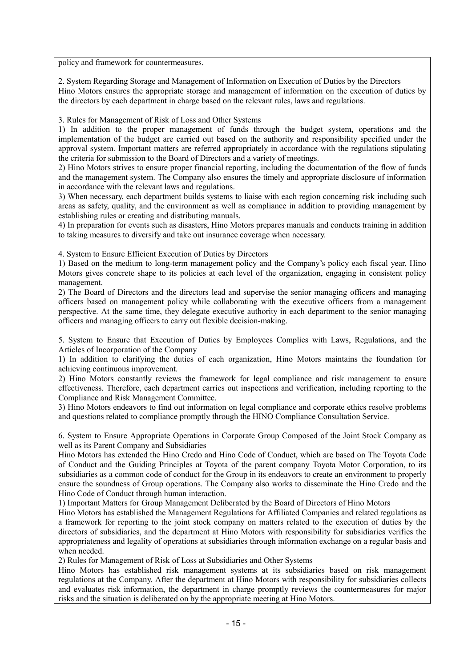policy and framework for countermeasures.

2. System Regarding Storage and Management of Information on Execution of Duties by the Directors Hino Motors ensures the appropriate storage and management of information on the execution of duties by the directors by each department in charge based on the relevant rules, laws and regulations.

3. Rules for Management of Risk of Loss and Other Systems

1) In addition to the proper management of funds through the budget system, operations and the implementation of the budget are carried out based on the authority and responsibility specified under the approval system. Important matters are referred appropriately in accordance with the regulations stipulating the criteria for submission to the Board of Directors and a variety of meetings.

2) Hino Motors strives to ensure proper financial reporting, including the documentation of the flow of funds and the management system. The Company also ensures the timely and appropriate disclosure of information in accordance with the relevant laws and regulations.

3) When necessary, each department builds systems to liaise with each region concerning risk including such areas as safety, quality, and the environment as well as compliance in addition to providing management by establishing rules or creating and distributing manuals.

4) In preparation for events such as disasters, Hino Motors prepares manuals and conducts training in addition to taking measures to diversify and take out insurance coverage when necessary.

4. System to Ensure Efficient Execution of Duties by Directors

1) Based on the medium to long-term management policy and the Company's policy each fiscal year, Hino Motors gives concrete shape to its policies at each level of the organization, engaging in consistent policy management.

2) The Board of Directors and the directors lead and supervise the senior managing officers and managing officers based on management policy while collaborating with the executive officers from a management perspective. At the same time, they delegate executive authority in each department to the senior managing officers and managing officers to carry out flexible decision-making.

5. System to Ensure that Execution of Duties by Employees Complies with Laws, Regulations, and the Articles of Incorporation of the Company

1) In addition to clarifying the duties of each organization, Hino Motors maintains the foundation for achieving continuous improvement.

2) Hino Motors constantly reviews the framework for legal compliance and risk management to ensure effectiveness. Therefore, each department carries out inspections and verification, including reporting to the Compliance and Risk Management Committee.

3) Hino Motors endeavors to find out information on legal compliance and corporate ethics resolve problems and questions related to compliance promptly through the HINO Compliance Consultation Service.

6. System to Ensure Appropriate Operations in Corporate Group Composed of the Joint Stock Company as well as its Parent Company and Subsidiaries

Hino Motors has extended the Hino Credo and Hino Code of Conduct, which are based on The Toyota Code of Conduct and the Guiding Principles at Toyota of the parent company Toyota Motor Corporation, to its subsidiaries as a common code of conduct for the Group in its endeavors to create an environment to properly ensure the soundness of Group operations. The Company also works to disseminate the Hino Credo and the Hino Code of Conduct through human interaction.

1) Important Matters for Group Management Deliberated by the Board of Directors of Hino Motors

Hino Motors has established the Management Regulations for Affiliated Companies and related regulations as a framework for reporting to the joint stock company on matters related to the execution of duties by the directors of subsidiaries, and the department at Hino Motors with responsibility for subsidiaries verifies the appropriateness and legality of operations at subsidiaries through information exchange on a regular basis and when needed.

2) Rules for Management of Risk of Loss at Subsidiaries and Other Systems

Hino Motors has established risk management systems at its subsidiaries based on risk management regulations at the Company. After the department at Hino Motors with responsibility for subsidiaries collects and evaluates risk information, the department in charge promptly reviews the countermeasures for major risks and the situation is deliberated on by the appropriate meeting at Hino Motors.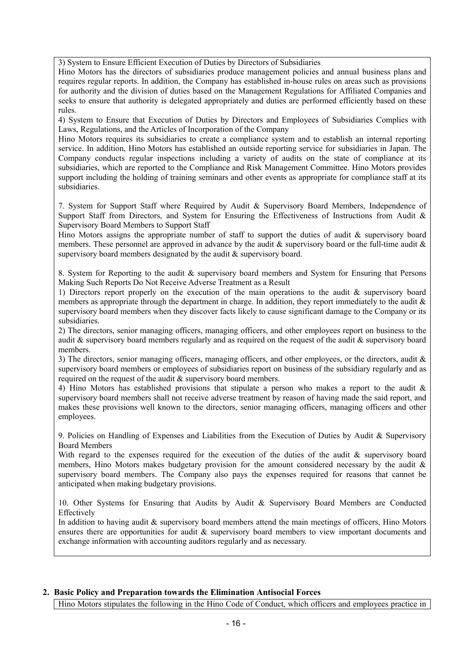3) System to Ensure Efficient Execution of Duties by Directors of Subsidiaries

Hino Motors has the directors of subsidiaries produce management policies and annual business plans and requires regular reports. In addition, the Company has established in-house rules on areas such as provisions for authority and the division of duties based on the Management Regulations for Affiliated Companies and seeks to ensure that authority is delegated appropriately and duties are performed efficiently based on these rules.

4) System to Ensure that Execution of Duties by Directors and Employees of Subsidiaries Complies with Laws, Regulations, and the Articles of Incorporation of the Company

Hino Motors requires its subsidiaries to create a compliance system and to establish an internal reporting service. In addition, Hino Motors has established an outside reporting service for subsidiaries in Japan. The Company conducts regular inspections including a variety of audits on the state of compliance at its subsidiaries, which are reported to the Compliance and Risk Management Committee. Hino Motors provides support including the holding of training seminars and other events as appropriate for compliance staff at its subsidiaries.

7. System for Support Staff where Required by Audit & Supervisory Board Members, Independence of Support Staff from Directors, and System for Ensuring the Effectiveness of Instructions from Audit & Supervisory Board Members to Support Staff

Hino Motors assigns the appropriate number of staff to support the duties of audit  $\&$  supervisory board members. These personnel are approved in advance by the audit  $\&$  supervisory board or the full-time audit  $\&$ supervisory board members designated by the audit & supervisory board.

8. System for Reporting to the audit & supervisory board members and System for Ensuring that Persons Making Such Reports Do Not Receive Adverse Treatment as a Result

1) Directors report properly on the execution of the main operations to the audit & supervisory board members as appropriate through the department in charge. In addition, they report immediately to the audit  $\&$ supervisory board members when they discover facts likely to cause significant damage to the Company or its subsidiaries.

2) The directors, senior managing officers, managing officers, and other employees report on business to the audit & supervisory board members regularly and as required on the request of the audit & supervisory board members.

3) The directors, senior managing officers, managing officers, and other employees, or the directors, audit & supervisory board members or employees of subsidiaries report on business of the subsidiary regularly and as required on the request of the audit & supervisory board members.

4) Hino Motors has established provisions that stipulate a person who makes a report to the audit & supervisory board members shall not receive adverse treatment by reason of having made the said report, and makes these provisions well known to the directors, senior managing officers, managing officers and other employees.

9. Policies on Handling of Expenses and Liabilities from the Execution of Duties by Audit & Supervisory Board Members

With regard to the expenses required for the execution of the duties of the audit & supervisory board members, Hino Motors makes budgetary provision for the amount considered necessary by the audit  $\&$ supervisory board members. The Company also pays the expenses required for reasons that cannot be anticipated when making budgetary provisions.

10. Other Systems for Ensuring that Audits by Audit & Supervisory Board Members are Conducted Effectively

In addition to having audit & supervisory board members attend the main meetings of officers, Hino Motors ensures there are opportunities for audit & supervisory board members to view important documents and exchange information with accounting auditors regularly and as necessary.

# **2. Basic Policy and Preparation towards the Elimination Antisocial Forces**

Hino Motors stipulates the following in the Hino Code of Conduct, which officers and employees practice in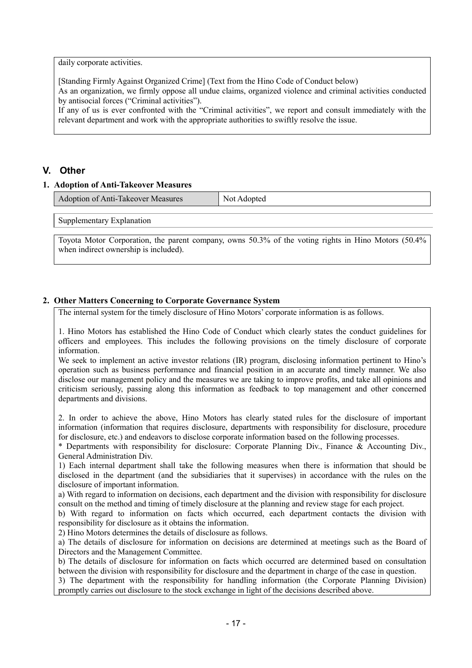#### daily corporate activities.

[Standing Firmly Against Organized Crime] (Text from the Hino Code of Conduct below)

As an organization, we firmly oppose all undue claims, organized violence and criminal activities conducted by antisocial forces ("Criminal activities").

If any of us is ever confronted with the "Criminal activities", we report and consult immediately with the relevant department and work with the appropriate authorities to swiftly resolve the issue.

# **V. Other**

#### **1. Adoption of Anti-Takeover Measures**

| <b>Adoption of Anti-Takeover Measures</b> | Not Adopted |
|-------------------------------------------|-------------|
|                                           |             |

Supplementary Explanation

Toyota Motor Corporation, the parent company, owns 50.3% of the voting rights in Hino Motors (50.4% when indirect ownership is included).

### **2. Other Matters Concerning to Corporate Governance System**

The internal system for the timely disclosure of Hino Motors' corporate information is as follows.

1. Hino Motors has established the Hino Code of Conduct which clearly states the conduct guidelines for officers and employees. This includes the following provisions on the timely disclosure of corporate information.

We seek to implement an active investor relations (IR) program, disclosing information pertinent to Hino's operation such as business performance and financial position in an accurate and timely manner. We also disclose our management policy and the measures we are taking to improve profits, and take all opinions and criticism seriously, passing along this information as feedback to top management and other concerned departments and divisions.

2. In order to achieve the above, Hino Motors has clearly stated rules for the disclosure of important information (information that requires disclosure, departments with responsibility for disclosure, procedure for disclosure, etc.) and endeavors to disclose corporate information based on the following processes.

\* Departments with responsibility for disclosure: Corporate Planning Div., Finance & Accounting Div., General Administration Div.

1) Each internal department shall take the following measures when there is information that should be disclosed in the department (and the subsidiaries that it supervises) in accordance with the rules on the disclosure of important information.

a) With regard to information on decisions, each department and the division with responsibility for disclosure consult on the method and timing of timely disclosure at the planning and review stage for each project.

b) With regard to information on facts which occurred, each department contacts the division with responsibility for disclosure as it obtains the information.

2) Hino Motors determines the details of disclosure as follows.

a) The details of disclosure for information on decisions are determined at meetings such as the Board of Directors and the Management Committee.

b) The details of disclosure for information on facts which occurred are determined based on consultation between the division with responsibility for disclosure and the department in charge of the case in question.

3) The department with the responsibility for handling information (the Corporate Planning Division) promptly carries out disclosure to the stock exchange in light of the decisions described above.